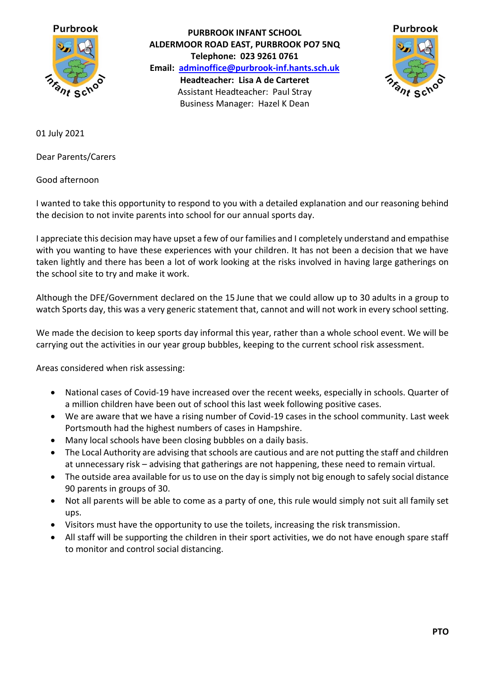

**PURBROOK INFANT SCHOOL ALDERMOOR ROAD EAST, PURBROOK PO7 5NQ Telephone: 023 9261 0761 Email: [adminoffice@purbrook-inf.hants.sch.uk](mailto:adminoffice@purbrook-inf.hants.sch.uk) Headteacher: Lisa A de Carteret** Assistant Headteacher: Paul Stray Business Manager: Hazel K Dean



01 July 2021

Dear Parents/Carers

Good afternoon

I wanted to take this opportunity to respond to you with a detailed explanation and our reasoning behind the decision to not invite parents into school for our annual sports day.

I appreciate this decision may have upset a few of our families and I completely understand and empathise with you wanting to have these experiences with your children. It has not been a decision that we have taken lightly and there has been a lot of work looking at the risks involved in having large gatherings on the school site to try and make it work.

Although the DFE/Government declared on the 15 June that we could allow up to 30 adults in a group to watch Sports day, this was a very generic statement that, cannot and will not work in every school setting.

We made the decision to keep sports day informal this year, rather than a whole school event. We will be carrying out the activities in our year group bubbles, keeping to the current school risk assessment.

Areas considered when risk assessing:

- National cases of Covid-19 have increased over the recent weeks, especially in schools. Quarter of a million children have been out of school this last week following positive cases.
- We are aware that we have a rising number of Covid-19 cases in the school community. Last week Portsmouth had the highest numbers of cases in Hampshire.
- Many local schools have been closing bubbles on a daily basis.
- The Local Authority are advising that schools are cautious and are not putting the staff and children at unnecessary risk – advising that gatherings are not happening, these need to remain virtual.
- The outside area available for us to use on the day is simply not big enough to safely social distance 90 parents in groups of 30.
- Not all parents will be able to come as a party of one, this rule would simply not suit all family set ups.
- Visitors must have the opportunity to use the toilets, increasing the risk transmission.
- All staff will be supporting the children in their sport activities, we do not have enough spare staff to monitor and control social distancing.